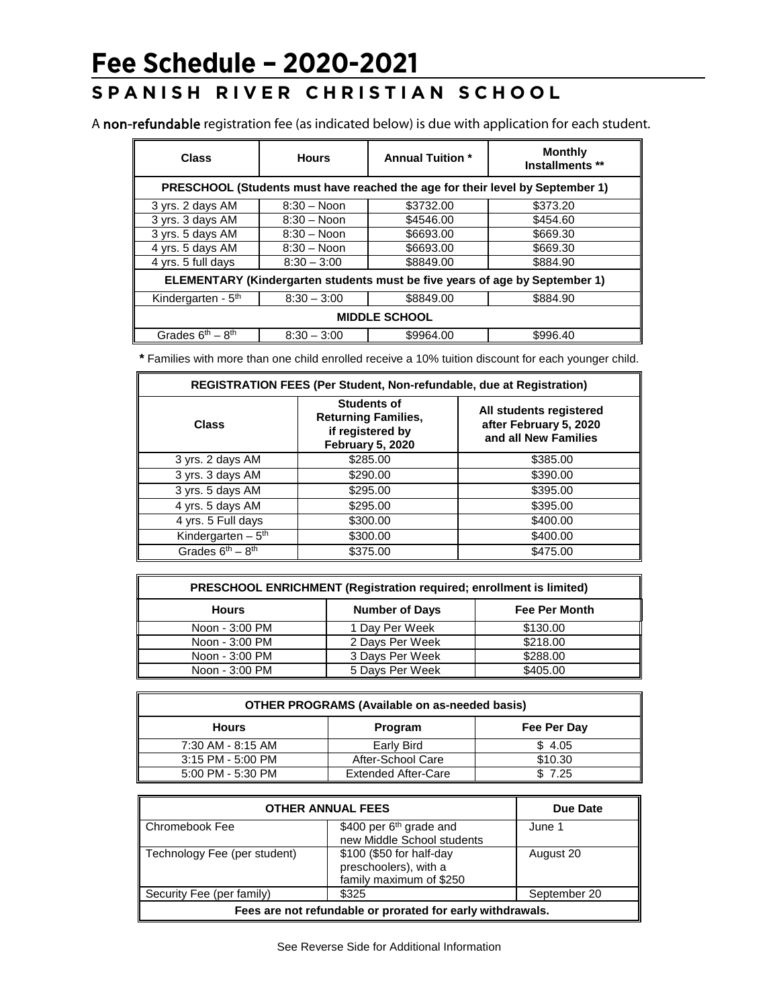## **Fee Schedule – 2020-2021**

## **SPANISH RIVER CHRISTIAN SCHOOL**

A non-refundable registration fee (as indicated below) is due with application for each student.

| <b>Class</b>                                                                  | <b>Hours</b>   | <b>Annual Tuition *</b> | <b>Monthly</b><br>Installments ** |  |  |
|-------------------------------------------------------------------------------|----------------|-------------------------|-----------------------------------|--|--|
| PRESCHOOL (Students must have reached the age for their level by September 1) |                |                         |                                   |  |  |
| 3 yrs. 2 days AM                                                              | $8:30 - N$ oon | \$3732.00               | \$373.20                          |  |  |
| 3 yrs. 3 days AM                                                              | $8:30 - N$ oon | \$4546.00               | \$454.60                          |  |  |
| 3 yrs. 5 days AM                                                              | $8:30 - N$ oon | \$6693.00               | \$669.30                          |  |  |
| 4 yrs. 5 days AM                                                              | $8:30 - N$ oon | \$6693.00               | \$669.30                          |  |  |
| 4 yrs. 5 full days                                                            | $8:30 - 3:00$  | \$8849.00               | \$884.90                          |  |  |
| ELEMENTARY (Kindergarten students must be five years of age by September 1)   |                |                         |                                   |  |  |
| Kindergarten - $5th$                                                          | $8:30 - 3:00$  | \$8849.00               | \$884.90                          |  |  |
| <b>MIDDLE SCHOOL</b>                                                          |                |                         |                                   |  |  |
| Grades $6th - 8th$                                                            | $8:30 - 3:00$  | \$9964.00               | \$996.40                          |  |  |

**\*** Families with more than one child enrolled receive a 10% tuition discount for each younger child.

| <b>REGISTRATION FEES (Per Student, Non-refundable, due at Registration)</b> |                                                                                          |                                                                           |  |  |
|-----------------------------------------------------------------------------|------------------------------------------------------------------------------------------|---------------------------------------------------------------------------|--|--|
| <b>Class</b>                                                                | <b>Students of</b><br><b>Returning Families,</b><br>if registered by<br>February 5, 2020 | All students registered<br>after February 5, 2020<br>and all New Families |  |  |
| 3 yrs. 2 days AM                                                            | \$285.00                                                                                 | \$385.00                                                                  |  |  |
| 3 yrs. 3 days AM                                                            | \$290.00                                                                                 | \$390.00                                                                  |  |  |
| 3 yrs. 5 days AM                                                            | \$295.00                                                                                 | \$395.00                                                                  |  |  |
| 4 yrs. 5 days AM                                                            | \$295.00                                                                                 | \$395.00                                                                  |  |  |
| 4 yrs. 5 Full days                                                          | \$300.00                                                                                 | \$400.00                                                                  |  |  |
| Kindergarten $-5$ <sup>th</sup>                                             | \$300.00                                                                                 | \$400.00                                                                  |  |  |
| Grades $6^{th} - 8^{th}$                                                    | \$375.00                                                                                 | \$475.00                                                                  |  |  |

| <b>PRESCHOOL ENRICHMENT (Registration required; enrollment is limited)</b> |                       |                      |  |  |
|----------------------------------------------------------------------------|-----------------------|----------------------|--|--|
| <b>Hours</b>                                                               | <b>Number of Days</b> | <b>Fee Per Month</b> |  |  |
| Noon - 3:00 PM                                                             | 1 Day Per Week        | \$130.00             |  |  |
| Noon - 3:00 PM                                                             | 2 Days Per Week       | \$218.00             |  |  |
| Noon - 3:00 PM                                                             | 3 Days Per Week       | \$288.00             |  |  |
| Noon - 3:00 PM                                                             | 5 Days Per Week       | \$405.00             |  |  |

| <b>OTHER PROGRAMS (Available on as-needed basis)</b> |                            |             |  |  |
|------------------------------------------------------|----------------------------|-------------|--|--|
| <b>Hours</b>                                         | Program                    | Fee Per Day |  |  |
| 7:30 AM - 8:15 AM                                    | Early Bird                 | \$4.05      |  |  |
| 3:15 PM - 5:00 PM                                    | After-School Care          | \$10.30     |  |  |
| 5:00 PM - 5:30 PM                                    | <b>Extended After-Care</b> | \$7.25      |  |  |

| <b>OTHER ANNUAL FEES</b>                                   |                                                                              | Due Date     |  |  |
|------------------------------------------------------------|------------------------------------------------------------------------------|--------------|--|--|
| ∥ Chromebook Fee                                           | \$400 per $6th$ grade and<br>new Middle School students                      | June 1       |  |  |
| Technology Fee (per student)                               | \$100 (\$50 for half-day<br>preschoolers), with a<br>family maximum of \$250 | August 20    |  |  |
| Security Fee (per family)                                  | \$325                                                                        | September 20 |  |  |
| Fees are not refundable or prorated for early withdrawals. |                                                                              |              |  |  |